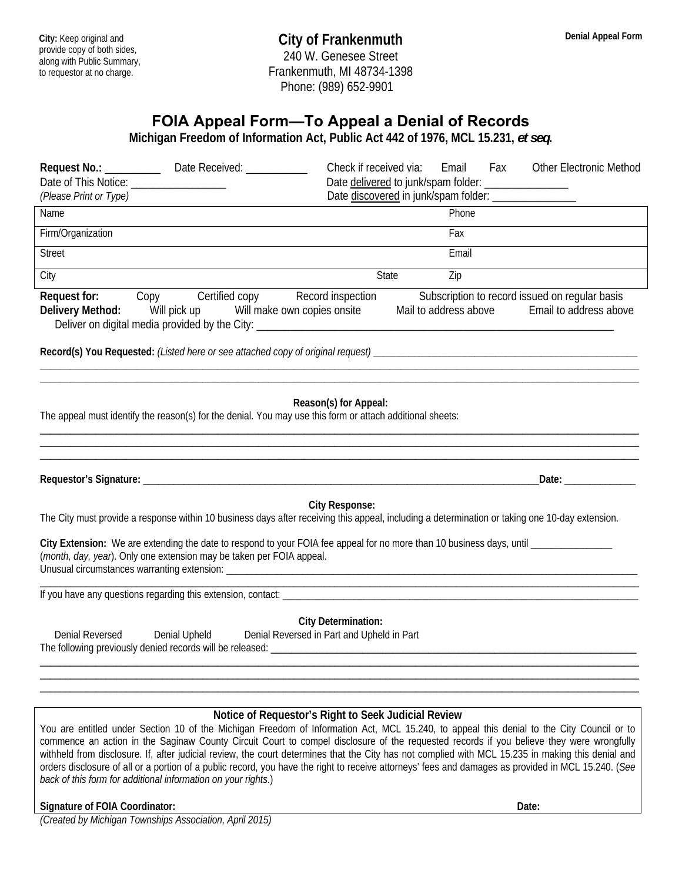## **FOIA Appeal Form—To Appeal a Denial of Records**

**Michigan Freedom of Information Act, Public Act 442 of 1976, MCL 15.231,** *et seq***.** 

| Request No.: __________<br>Date Received: ___________<br>Date of This Notice: ____________________<br>(Please Print or Type)<br>Name                                                                           | Check if received via:<br>Email<br>Fax<br><b>Other Electronic Method</b><br>Date delivered to junk/spam folder: __________________<br>Date discovered in junk/spam folder: _________________<br>Phone |
|----------------------------------------------------------------------------------------------------------------------------------------------------------------------------------------------------------------|-------------------------------------------------------------------------------------------------------------------------------------------------------------------------------------------------------|
| Firm/Organization                                                                                                                                                                                              | Fax                                                                                                                                                                                                   |
| <b>Street</b>                                                                                                                                                                                                  | Email                                                                                                                                                                                                 |
| City                                                                                                                                                                                                           | State<br>Zip                                                                                                                                                                                          |
| Request for: Copy Certified copy Record inspection<br>Delivery Method: Will pick up Will make own copies onsite<br>Deliver on digital media provided by the City: _________________________________            | Subscription to record issued on regular basis<br>Mail to address above<br>Email to address above                                                                                                     |
|                                                                                                                                                                                                                |                                                                                                                                                                                                       |
| The appeal must identify the reason(s) for the denial. You may use this form or attach additional sheets:                                                                                                      | Reason(s) for Appeal:<br>Date: Date:                                                                                                                                                                  |
|                                                                                                                                                                                                                |                                                                                                                                                                                                       |
| <b>City Response:</b><br>The City must provide a response within 10 business days after receiving this appeal, including a determination or taking one 10-day extension.                                       |                                                                                                                                                                                                       |
| City Extension: We are extending the date to respond to your FOIA fee appeal for no more than 10 business days, until ________________<br>(month, day, year). Only one extension may be taken per FOIA appeal. |                                                                                                                                                                                                       |
|                                                                                                                                                                                                                |                                                                                                                                                                                                       |
| <b>City Determination:</b><br>Denial Upheld Denial Reversed in Part and Upheld in Part<br>Denial Reversed                                                                                                      |                                                                                                                                                                                                       |

## **Notice of Requestor's Right to Seek Judicial Review**

You are entitled under Section 10 of the Michigan Freedom of Information Act, MCL 15.240, to appeal this denial to the City Council or to commence an action in the Saginaw County Circuit Court to compel disclosure of the requested records if you believe they were wrongfully withheld from disclosure. If, after judicial review, the court determines that the City has not complied with MCL 15.235 in making this denial and orders disclosure of all or a portion of a public record, you have the right to receive attorneys' fees and damages as provided in MCL 15.240. (*See back of this form for additional information on your rights*.)

## **Signature of FOIA Coordinator: Date: Date: Date: Date: Date: Date: Date: Date: Date: Date: Date: Date: Date: Date: Date: Date: Date: Date: Date: Date: Date: Date: Date: Date**

*(Created by Michigan Townships Association, April 2015)*